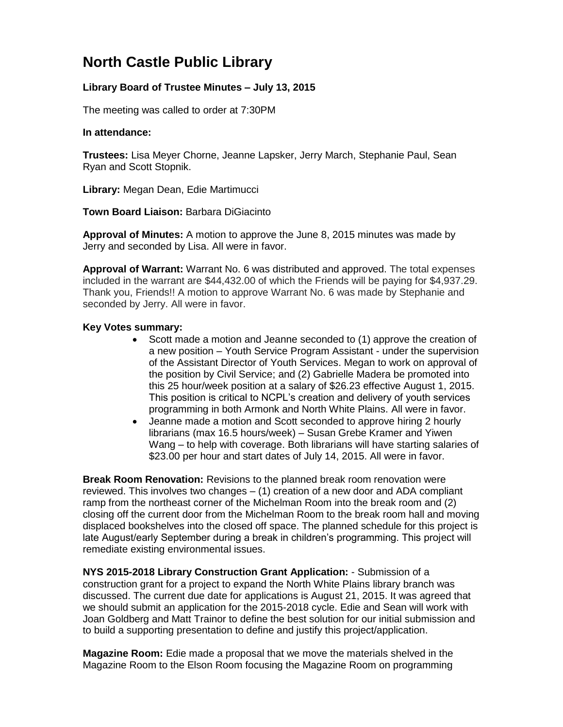## **North Castle Public Library**

## **Library Board of Trustee Minutes – July 13, 2015**

The meeting was called to order at 7:30PM

## **In attendance:**

**Trustees:** Lisa Meyer Chorne, Jeanne Lapsker, Jerry March, Stephanie Paul, Sean Ryan and Scott Stopnik.

**Library:** Megan Dean, Edie Martimucci

**Town Board Liaison:** Barbara DiGiacinto

**Approval of Minutes:** A motion to approve the June 8, 2015 minutes was made by Jerry and seconded by Lisa. All were in favor.

**Approval of Warrant:** Warrant No. 6 was distributed and approved. The total expenses included in the warrant are \$44,432.00 of which the Friends will be paying for \$4,937.29. Thank you, Friends!! A motion to approve Warrant No. 6 was made by Stephanie and seconded by Jerry. All were in favor.

## **Key Votes summary:**

- Scott made a motion and Jeanne seconded to (1) approve the creation of a new position – Youth Service Program Assistant - under the supervision of the Assistant Director of Youth Services. Megan to work on approval of the position by Civil Service; and (2) Gabrielle Madera be promoted into this 25 hour/week position at a salary of \$26.23 effective August 1, 2015. This position is critical to NCPL's creation and delivery of youth services programming in both Armonk and North White Plains. All were in favor.
- Jeanne made a motion and Scott seconded to approve hiring 2 hourly librarians (max 16.5 hours/week) – Susan Grebe Kramer and Yiwen Wang – to help with coverage. Both librarians will have starting salaries of \$23.00 per hour and start dates of July 14, 2015. All were in favor.

**Break Room Renovation:** Revisions to the planned break room renovation were reviewed. This involves two changes – (1) creation of a new door and ADA compliant ramp from the northeast corner of the Michelman Room into the break room and (2) closing off the current door from the Michelman Room to the break room hall and moving displaced bookshelves into the closed off space. The planned schedule for this project is late August/early September during a break in children's programming. This project will remediate existing environmental issues.

**NYS 2015-2018 Library Construction Grant Application:** - Submission of a construction grant for a project to expand the North White Plains library branch was discussed. The current due date for applications is August 21, 2015. It was agreed that we should submit an application for the 2015-2018 cycle. Edie and Sean will work with Joan Goldberg and Matt Trainor to define the best solution for our initial submission and to build a supporting presentation to define and justify this project/application.

**Magazine Room:** Edie made a proposal that we move the materials shelved in the Magazine Room to the Elson Room focusing the Magazine Room on programming